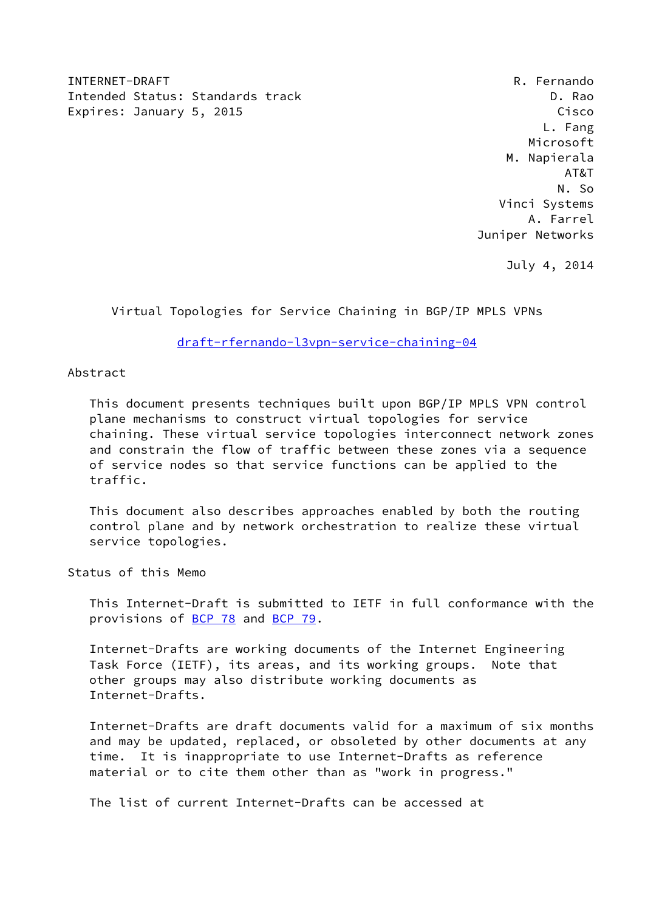INTERNET-DRAFT R. Fernando Intended Status: Standards track D. Rao Expires: January 5, 2015 **Cisco** Cisco Cisco Cisco Cisco Cisco Cisco Cisco Cisco Cisco

 L. Fang Microsoft M. Napierala AT&T N. So Vinci Systems A. Farrel Juniper Networks

July 4, 2014

Virtual Topologies for Service Chaining in BGP/IP MPLS VPNs

[draft-rfernando-l3vpn-service-chaining-04](https://datatracker.ietf.org/doc/pdf/draft-rfernando-l3vpn-service-chaining-04)

# Abstract

 This document presents techniques built upon BGP/IP MPLS VPN control plane mechanisms to construct virtual topologies for service chaining. These virtual service topologies interconnect network zones and constrain the flow of traffic between these zones via a sequence of service nodes so that service functions can be applied to the traffic.

 This document also describes approaches enabled by both the routing control plane and by network orchestration to realize these virtual service topologies.

Status of this Memo

 This Internet-Draft is submitted to IETF in full conformance with the provisions of [BCP 78](https://datatracker.ietf.org/doc/pdf/bcp78) and [BCP 79](https://datatracker.ietf.org/doc/pdf/bcp79).

 Internet-Drafts are working documents of the Internet Engineering Task Force (IETF), its areas, and its working groups. Note that other groups may also distribute working documents as Internet-Drafts.

 Internet-Drafts are draft documents valid for a maximum of six months and may be updated, replaced, or obsoleted by other documents at any time. It is inappropriate to use Internet-Drafts as reference material or to cite them other than as "work in progress."

The list of current Internet-Drafts can be accessed at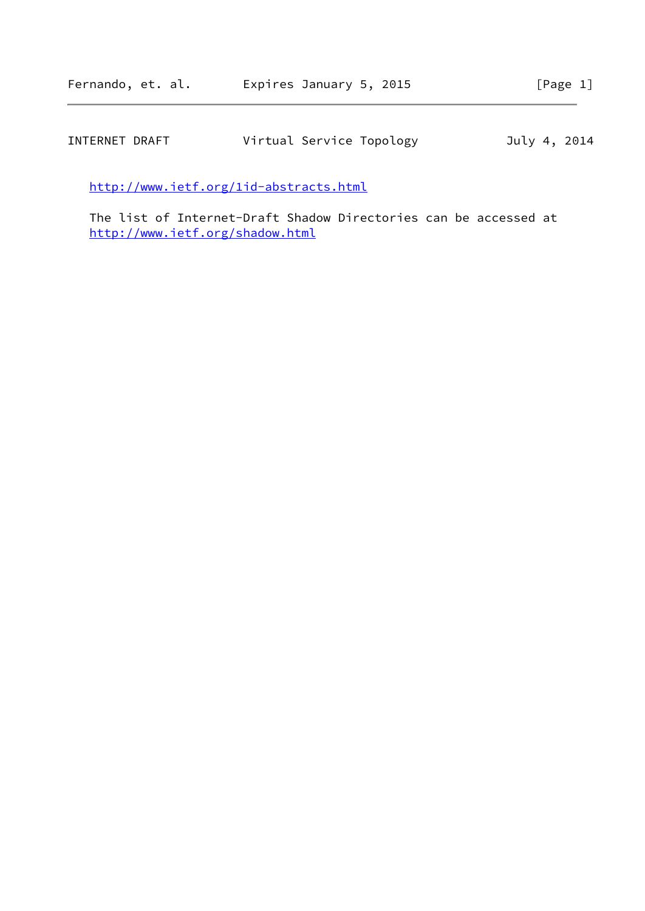| INTERNET DRAFT | Virtual Service Topology | July 4, 2014 |
|----------------|--------------------------|--------------|
|----------------|--------------------------|--------------|

<http://www.ietf.org/1id-abstracts.html>

 The list of Internet-Draft Shadow Directories can be accessed at <http://www.ietf.org/shadow.html>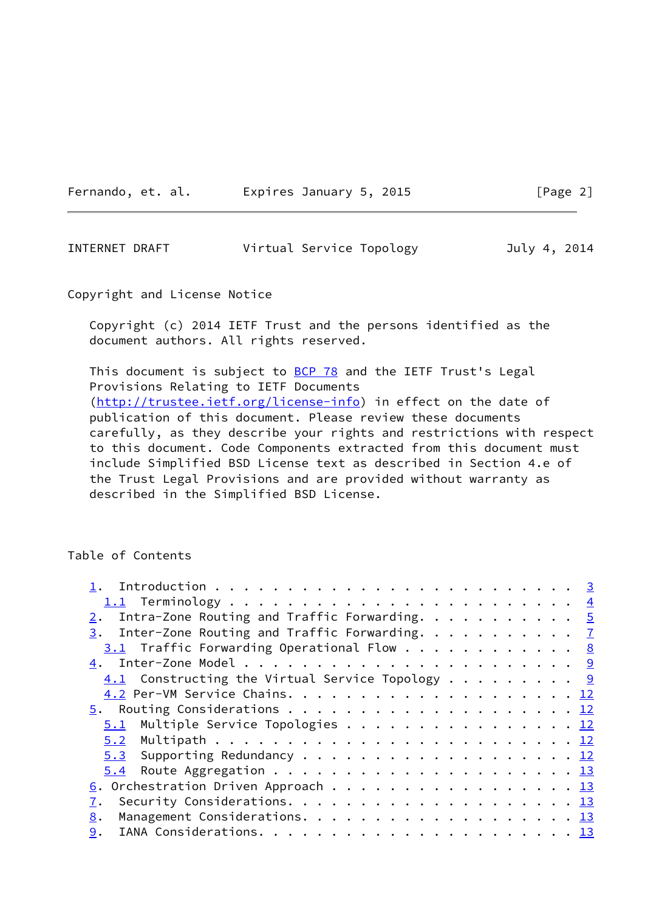Fernando, et. al. Expires January 5, 2015 [Page 2]

<span id="page-2-0"></span>INTERNET DRAFT Virtual Service Topology July 4, 2014

Copyright and License Notice

 Copyright (c) 2014 IETF Trust and the persons identified as the document authors. All rights reserved.

This document is subject to [BCP 78](https://datatracker.ietf.org/doc/pdf/bcp78) and the IETF Trust's Legal Provisions Relating to IETF Documents [\(http://trustee.ietf.org/license-info](http://trustee.ietf.org/license-info)) in effect on the date of publication of this document. Please review these documents carefully, as they describe your rights and restrictions with respect to this document. Code Components extracted from this document must include Simplified BSD License text as described in Section 4.e of the Trust Legal Provisions and are provided without warranty as described in the Simplified BSD License.

# Table of Contents

| 2. Intra-Zone Routing and Traffic Forwarding. $5$                            |  |
|------------------------------------------------------------------------------|--|
| $\underline{3}$ . Inter-Zone Routing and Traffic Forwarding. $\underline{7}$ |  |
| 3.1 Traffic Forwarding Operational Flow 8                                    |  |
|                                                                              |  |
| $\underline{4.1}$ Constructing the Virtual Service Topology 9                |  |
|                                                                              |  |
|                                                                              |  |
| 5.1 Multiple Service Topologies 12                                           |  |
|                                                                              |  |
| $5.3$ Supporting Redundancy 12                                               |  |
|                                                                              |  |
| $\underline{6}$ . Orchestration Driven Approach 13                           |  |
|                                                                              |  |
| 8.                                                                           |  |
|                                                                              |  |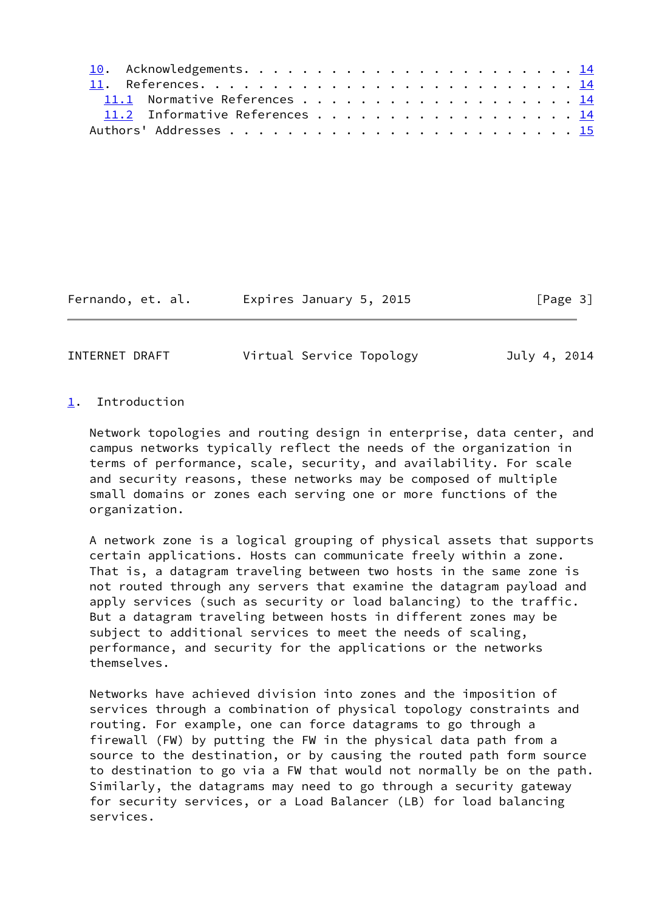|  | 11.1 Normative References 14   |  |  |  |  |  |  |  |  |  |  |  |  |
|--|--------------------------------|--|--|--|--|--|--|--|--|--|--|--|--|
|  | 11.2 Informative References 14 |  |  |  |  |  |  |  |  |  |  |  |  |
|  |                                |  |  |  |  |  |  |  |  |  |  |  |  |

Fernando, et. al. Expires January 5, 2015 [Page 3]

<span id="page-3-1"></span>INTERNET DRAFT Virtual Service Topology July 4, 2014

### <span id="page-3-0"></span>[1](#page-3-0). Introduction

 Network topologies and routing design in enterprise, data center, and campus networks typically reflect the needs of the organization in terms of performance, scale, security, and availability. For scale and security reasons, these networks may be composed of multiple small domains or zones each serving one or more functions of the organization.

 A network zone is a logical grouping of physical assets that supports certain applications. Hosts can communicate freely within a zone. That is, a datagram traveling between two hosts in the same zone is not routed through any servers that examine the datagram payload and apply services (such as security or load balancing) to the traffic. But a datagram traveling between hosts in different zones may be subject to additional services to meet the needs of scaling, performance, and security for the applications or the networks themselves.

 Networks have achieved division into zones and the imposition of services through a combination of physical topology constraints and routing. For example, one can force datagrams to go through a firewall (FW) by putting the FW in the physical data path from a source to the destination, or by causing the routed path form source to destination to go via a FW that would not normally be on the path. Similarly, the datagrams may need to go through a security gateway for security services, or a Load Balancer (LB) for load balancing services.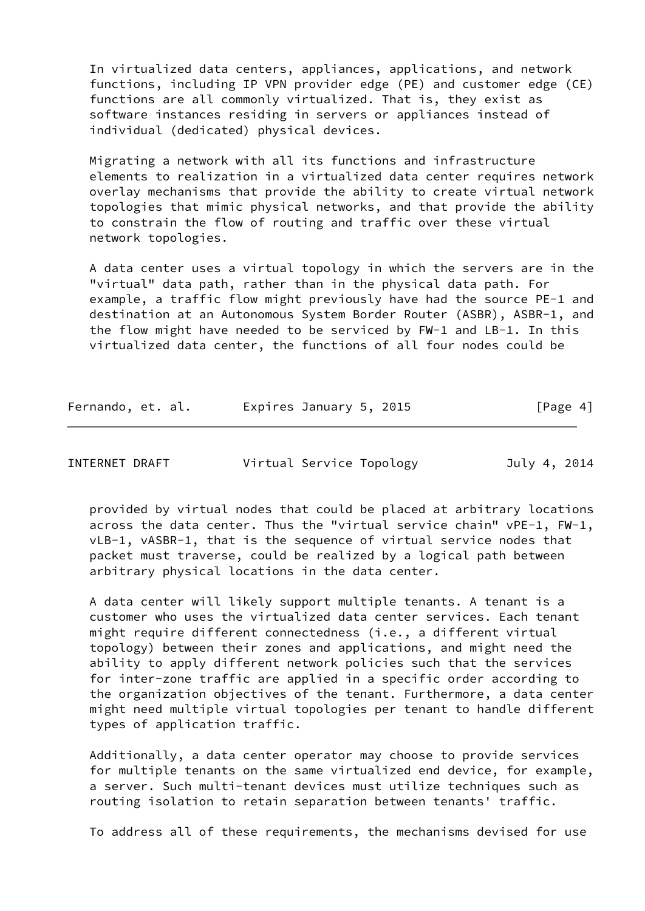In virtualized data centers, appliances, applications, and network functions, including IP VPN provider edge (PE) and customer edge (CE) functions are all commonly virtualized. That is, they exist as software instances residing in servers or appliances instead of individual (dedicated) physical devices.

 Migrating a network with all its functions and infrastructure elements to realization in a virtualized data center requires network overlay mechanisms that provide the ability to create virtual network topologies that mimic physical networks, and that provide the ability to constrain the flow of routing and traffic over these virtual network topologies.

 A data center uses a virtual topology in which the servers are in the "virtual" data path, rather than in the physical data path. For example, a traffic flow might previously have had the source PE-1 and destination at an Autonomous System Border Router (ASBR), ASBR-1, and the flow might have needed to be serviced by FW-1 and LB-1. In this virtualized data center, the functions of all four nodes could be

| Fernando, et. al. | Expires January 5, 2015 | [Page 4] |
|-------------------|-------------------------|----------|
|-------------------|-------------------------|----------|

<span id="page-4-0"></span>INTERNET DRAFT Virtual Service Topology July 4, 2014

 provided by virtual nodes that could be placed at arbitrary locations across the data center. Thus the "virtual service chain" vPE-1, FW-1, vLB-1, vASBR-1, that is the sequence of virtual service nodes that packet must traverse, could be realized by a logical path between arbitrary physical locations in the data center.

 A data center will likely support multiple tenants. A tenant is a customer who uses the virtualized data center services. Each tenant might require different connectedness (i.e., a different virtual topology) between their zones and applications, and might need the ability to apply different network policies such that the services for inter-zone traffic are applied in a specific order according to the organization objectives of the tenant. Furthermore, a data center might need multiple virtual topologies per tenant to handle different types of application traffic.

 Additionally, a data center operator may choose to provide services for multiple tenants on the same virtualized end device, for example, a server. Such multi-tenant devices must utilize techniques such as routing isolation to retain separation between tenants' traffic.

To address all of these requirements, the mechanisms devised for use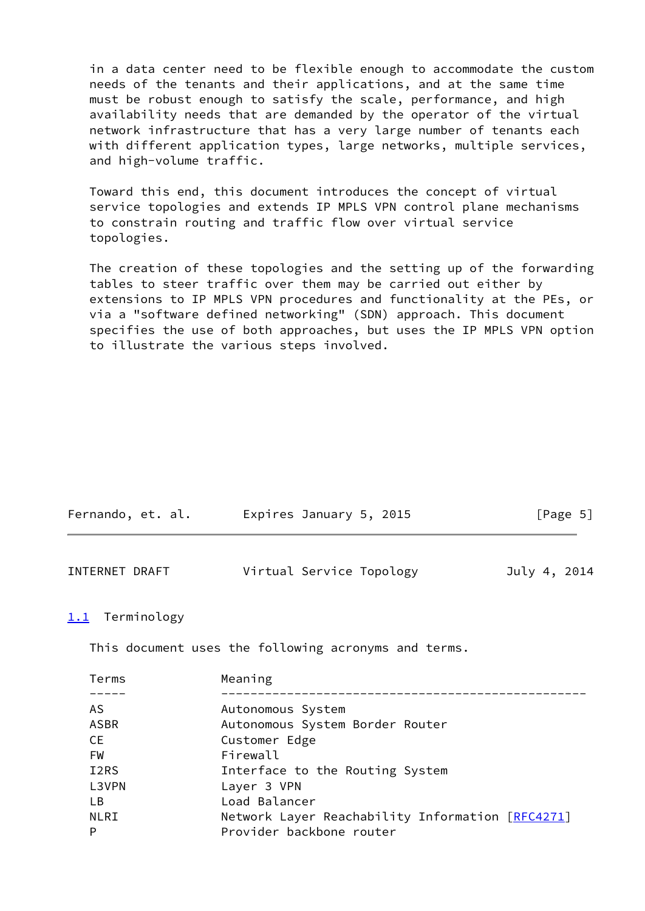in a data center need to be flexible enough to accommodate the custom needs of the tenants and their applications, and at the same time must be robust enough to satisfy the scale, performance, and high availability needs that are demanded by the operator of the virtual network infrastructure that has a very large number of tenants each with different application types, large networks, multiple services, and high-volume traffic.

 Toward this end, this document introduces the concept of virtual service topologies and extends IP MPLS VPN control plane mechanisms to constrain routing and traffic flow over virtual service topologies.

 The creation of these topologies and the setting up of the forwarding tables to steer traffic over them may be carried out either by extensions to IP MPLS VPN procedures and functionality at the PEs, or via a "software defined networking" (SDN) approach. This document specifies the use of both approaches, but uses the IP MPLS VPN option to illustrate the various steps involved.

<span id="page-5-0"></span>

| INTERNET DRAFT           | Virtual Service Topology<br>July 4, 2014                                     |  |
|--------------------------|------------------------------------------------------------------------------|--|
| 1.1 Terminology          |                                                                              |  |
|                          | This document uses the following acronyms and terms.                         |  |
| Terms                    | Meaning                                                                      |  |
| AS.                      | Autonomous System                                                            |  |
| <b>ASBR</b><br><b>CE</b> | Autonomous System Border Router<br>Customer Edge                             |  |
| FW<br>I <sub>2</sub> RS  | Firewall<br>Interface to the Routing System                                  |  |
| L3VPN                    | Layer 3 VPN                                                                  |  |
| LB.                      | Load Balancer                                                                |  |
| <b>NLRI</b><br>P         | Network Layer Reachability Information [RFC4271]<br>Provider backbone router |  |
|                          |                                                                              |  |

Fernando, et. al. Expires January 5, 2015 [Page 5]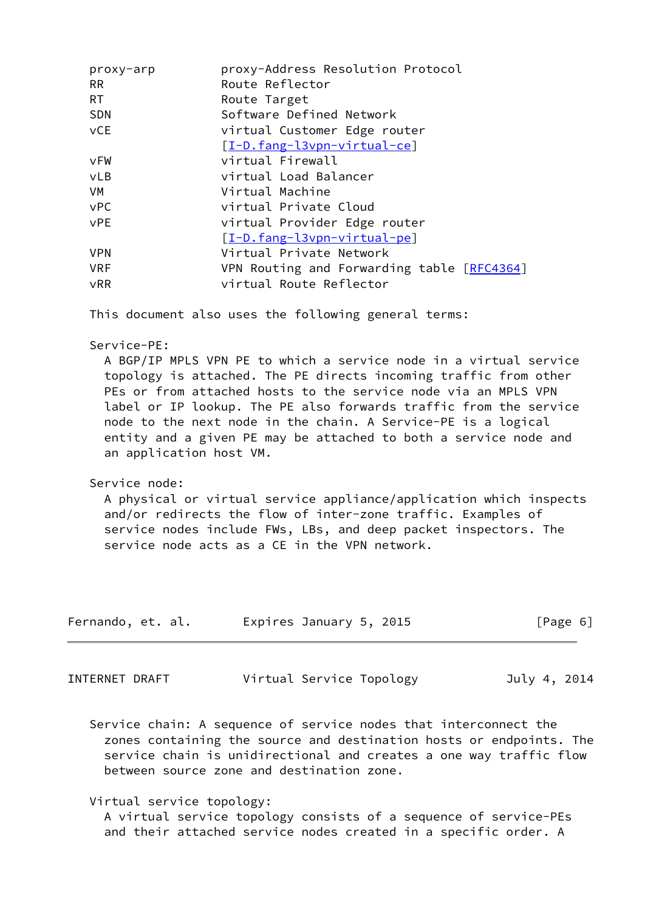| proxy-arp  | proxy-Address Resolution Protocol          |
|------------|--------------------------------------------|
| <b>RR</b>  | Route Reflector                            |
| <b>RT</b>  | Route Target                               |
| <b>SDN</b> | Software Defined Network                   |
| vCE        | virtual Customer Edge router               |
|            | [I-D.fang-l3vpn-virtual-ce]                |
| vFW        | virtual Firewall                           |
| <b>vLB</b> | virtual Load Balancer                      |
| VM         | Virtual Machine                            |
| <b>vPC</b> | virtual Private Cloud                      |
| <b>VPE</b> | virtual Provider Edge router               |
|            | [I-D.fang-l3vpn-virtual-pe]                |
| <b>VPN</b> | Virtual Private Network                    |
| <b>VRF</b> | VPN Routing and Forwarding table [RFC4364] |
| <b>vRR</b> | virtual Route Reflector                    |
|            |                                            |

This document also uses the following general terms:

Service-PE:

 A BGP/IP MPLS VPN PE to which a service node in a virtual service topology is attached. The PE directs incoming traffic from other PEs or from attached hosts to the service node via an MPLS VPN label or IP lookup. The PE also forwards traffic from the service node to the next node in the chain. A Service-PE is a logical entity and a given PE may be attached to both a service node and an application host VM.

### Service node:

 A physical or virtual service appliance/application which inspects and/or redirects the flow of inter-zone traffic. Examples of service nodes include FWs, LBs, and deep packet inspectors. The service node acts as a CE in the VPN network.

| Fernando, et. al. | Expires January 5, 2015 | [Page 6] |  |
|-------------------|-------------------------|----------|--|
|                   |                         |          |  |

<span id="page-6-0"></span>

| INTERNET DRAFT | Virtual Service Topology | July 4, 2014 |
|----------------|--------------------------|--------------|
|----------------|--------------------------|--------------|

 Service chain: A sequence of service nodes that interconnect the zones containing the source and destination hosts or endpoints. The service chain is unidirectional and creates a one way traffic flow between source zone and destination zone.

Virtual service topology:

 A virtual service topology consists of a sequence of service-PEs and their attached service nodes created in a specific order. A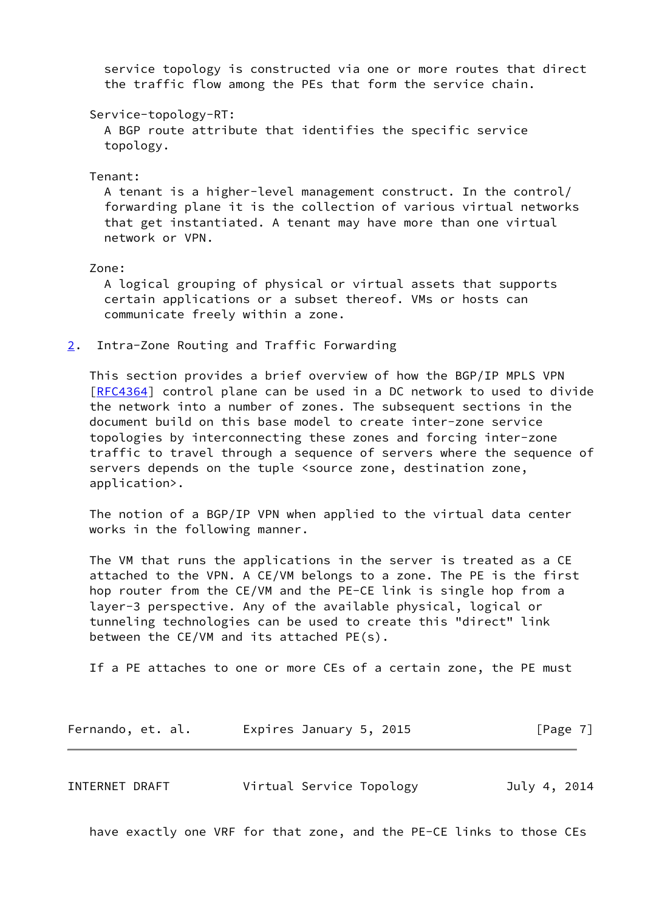service topology is constructed via one or more routes that direct the traffic flow among the PEs that form the service chain.

Service-topology-RT:

 A BGP route attribute that identifies the specific service topology.

Tenant:

 A tenant is a higher-level management construct. In the control/ forwarding plane it is the collection of various virtual networks that get instantiated. A tenant may have more than one virtual network or VPN.

Zone:

 A logical grouping of physical or virtual assets that supports certain applications or a subset thereof. VMs or hosts can communicate freely within a zone.

<span id="page-7-0"></span>[2](#page-7-0). Intra-Zone Routing and Traffic Forwarding

 This section provides a brief overview of how the BGP/IP MPLS VPN [\[RFC4364](https://datatracker.ietf.org/doc/pdf/rfc4364)] control plane can be used in a DC network to used to divide the network into a number of zones. The subsequent sections in the document build on this base model to create inter-zone service topologies by interconnecting these zones and forcing inter-zone traffic to travel through a sequence of servers where the sequence of servers depends on the tuple <source zone, destination zone, application>.

 The notion of a BGP/IP VPN when applied to the virtual data center works in the following manner.

 The VM that runs the applications in the server is treated as a CE attached to the VPN. A CE/VM belongs to a zone. The PE is the first hop router from the CE/VM and the PE-CE link is single hop from a layer-3 perspective. Any of the available physical, logical or tunneling technologies can be used to create this "direct" link between the CE/VM and its attached PE(s).

If a PE attaches to one or more CEs of a certain zone, the PE must

| Fernando, et. al. | Expires January 5, 2015 | [Page 7] |
|-------------------|-------------------------|----------|
|-------------------|-------------------------|----------|

<span id="page-7-1"></span>INTERNET DRAFT Virtual Service Topology July 4, 2014

have exactly one VRF for that zone, and the PE-CE links to those CEs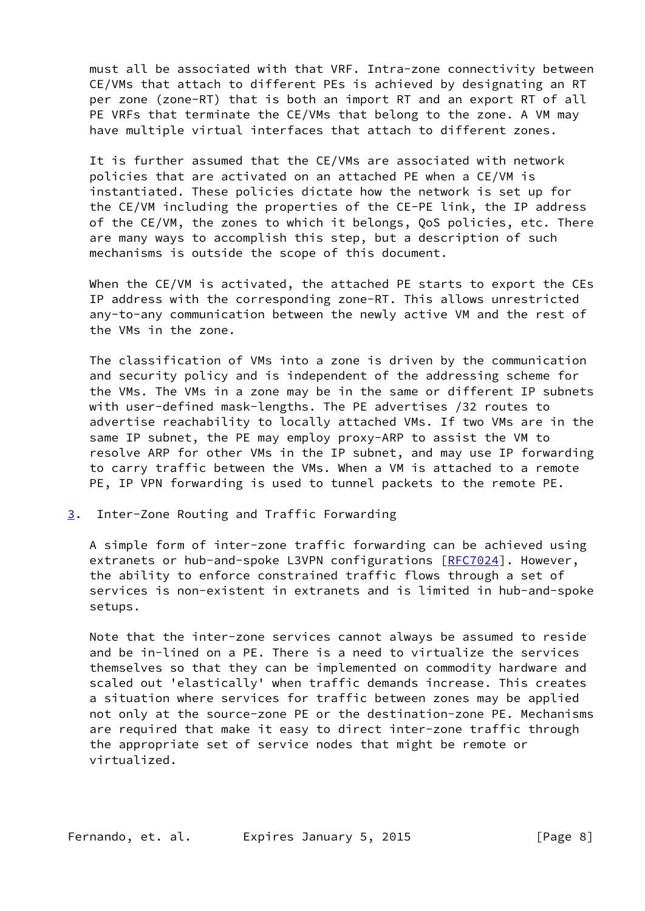must all be associated with that VRF. Intra-zone connectivity between CE/VMs that attach to different PEs is achieved by designating an RT per zone (zone-RT) that is both an import RT and an export RT of all PE VRFs that terminate the CE/VMs that belong to the zone. A VM may have multiple virtual interfaces that attach to different zones.

 It is further assumed that the CE/VMs are associated with network policies that are activated on an attached PE when a CE/VM is instantiated. These policies dictate how the network is set up for the CE/VM including the properties of the CE-PE link, the IP address of the CE/VM, the zones to which it belongs, QoS policies, etc. There are many ways to accomplish this step, but a description of such mechanisms is outside the scope of this document.

 When the CE/VM is activated, the attached PE starts to export the CEs IP address with the corresponding zone-RT. This allows unrestricted any-to-any communication between the newly active VM and the rest of the VMs in the zone.

 The classification of VMs into a zone is driven by the communication and security policy and is independent of the addressing scheme for the VMs. The VMs in a zone may be in the same or different IP subnets with user-defined mask-lengths. The PE advertises /32 routes to advertise reachability to locally attached VMs. If two VMs are in the same IP subnet, the PE may employ proxy-ARP to assist the VM to resolve ARP for other VMs in the IP subnet, and may use IP forwarding to carry traffic between the VMs. When a VM is attached to a remote PE, IP VPN forwarding is used to tunnel packets to the remote PE.

<span id="page-8-0"></span>[3](#page-8-0). Inter-Zone Routing and Traffic Forwarding

 A simple form of inter-zone traffic forwarding can be achieved using extranets or hub-and-spoke L3VPN configurations [\[RFC7024](https://datatracker.ietf.org/doc/pdf/rfc7024)]. However, the ability to enforce constrained traffic flows through a set of services is non-existent in extranets and is limited in hub-and-spoke setups.

 Note that the inter-zone services cannot always be assumed to reside and be in-lined on a PE. There is a need to virtualize the services themselves so that they can be implemented on commodity hardware and scaled out 'elastically' when traffic demands increase. This creates a situation where services for traffic between zones may be applied not only at the source-zone PE or the destination-zone PE. Mechanisms are required that make it easy to direct inter-zone traffic through the appropriate set of service nodes that might be remote or virtualized.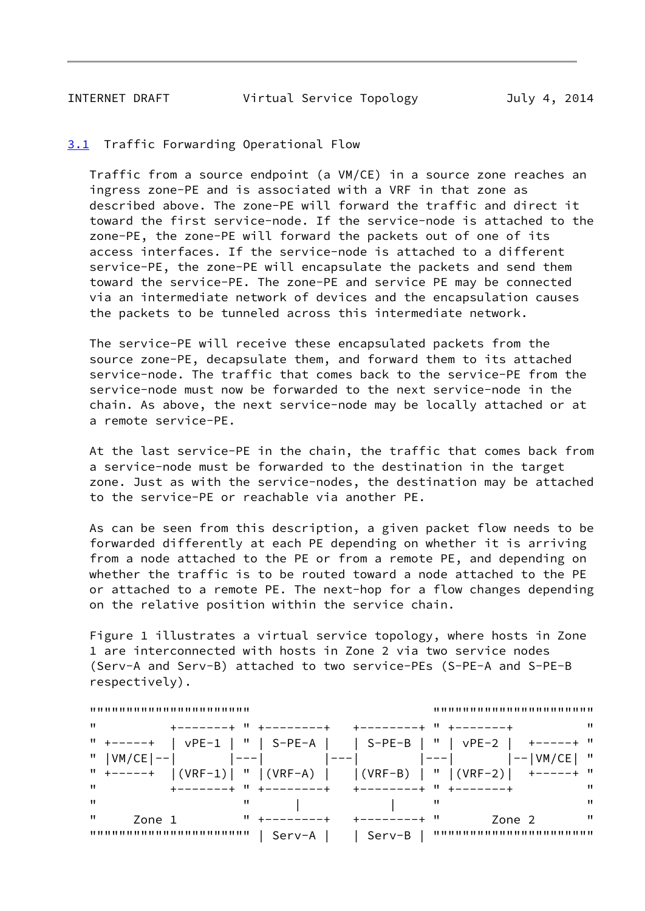<span id="page-9-1"></span>INTERNET DRAFT Virtual Service Topology July 4, 2014

## <span id="page-9-0"></span>[3.1](#page-9-0) Traffic Forwarding Operational Flow

 Traffic from a source endpoint (a VM/CE) in a source zone reaches an ingress zone-PE and is associated with a VRF in that zone as described above. The zone-PE will forward the traffic and direct it toward the first service-node. If the service-node is attached to the zone-PE, the zone-PE will forward the packets out of one of its access interfaces. If the service-node is attached to a different service-PE, the zone-PE will encapsulate the packets and send them toward the service-PE. The zone-PE and service PE may be connected via an intermediate network of devices and the encapsulation causes the packets to be tunneled across this intermediate network.

 The service-PE will receive these encapsulated packets from the source zone-PE, decapsulate them, and forward them to its attached service-node. The traffic that comes back to the service-PE from the service-node must now be forwarded to the next service-node in the chain. As above, the next service-node may be locally attached or at a remote service-PE.

 At the last service-PE in the chain, the traffic that comes back from a service-node must be forwarded to the destination in the target zone. Just as with the service-nodes, the destination may be attached to the service-PE or reachable via another PE.

 As can be seen from this description, a given packet flow needs to be forwarded differently at each PE depending on whether it is arriving from a node attached to the PE or from a remote PE, and depending on whether the traffic is to be routed toward a node attached to the PE or attached to a remote PE. The next-hop for a flow changes depending on the relative position within the service chain.

 Figure 1 illustrates a virtual service topology, where hosts in Zone 1 are interconnected with hosts in Zone 2 via two service nodes (Serv-A and Serv-B) attached to two service-PEs (S-PE-A and S-PE-B respectively).

| $^{\prime\prime}$  |                                                                     |                             |
|--------------------|---------------------------------------------------------------------|-----------------------------|
|                    | " +-----+   vPE-1   "   S-PE-A       S-PE-B   "   vPE-2   +-----+ " |                             |
| "<br>$ VM/CE  -- $ |                                                                     | $\mathbf{H}$<br>$I--IVM/CE$ |
| $11 + - - - - +$   | $ (VRF-1) $ " $ (VRF-A) $ $ (VRF-B) $ " $ (VRF-2) $ +-----+ "       |                             |
| п                  | +-------+ " +--------+ +--------+ " +-------+                       | "                           |
| п<br>"             |                                                                     | <br>"                       |
| п<br>Zone 1        | $11 + - - - - - - - +$<br>------------ "                            | $\mathbf{u}$<br>Zone 2      |
| ,,,,,,,,,,,,,,,,   | - Serv-A<br>Serv-B                                                  |                             |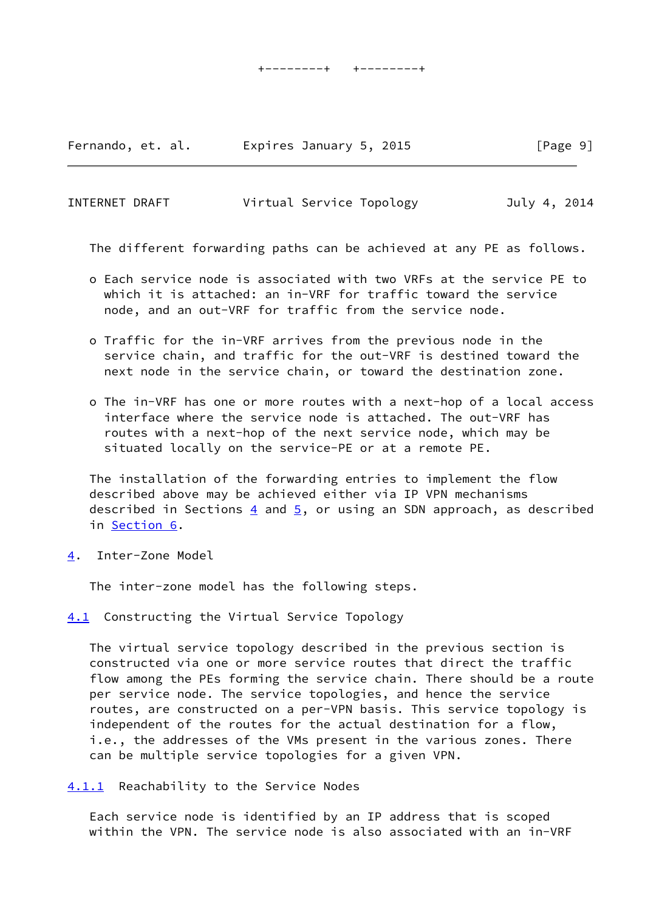Fernando, et. al. Expires January 5, 2015 [Page 9]

| INTERNET DRAFT | Virtual Service Topology | July 4, 2014 |
|----------------|--------------------------|--------------|
|----------------|--------------------------|--------------|

The different forwarding paths can be achieved at any PE as follows.

- o Each service node is associated with two VRFs at the service PE to which it is attached: an in-VRF for traffic toward the service node, and an out-VRF for traffic from the service node.
- o Traffic for the in-VRF arrives from the previous node in the service chain, and traffic for the out-VRF is destined toward the next node in the service chain, or toward the destination zone.
- o The in-VRF has one or more routes with a next-hop of a local access interface where the service node is attached. The out-VRF has routes with a next-hop of the next service node, which may be situated locally on the service-PE or at a remote PE.

 The installation of the forwarding entries to implement the flow described above may be achieved either via IP VPN mechanisms described in Sections  $\frac{4}{5}$ , and  $\frac{5}{5}$ , or using an SDN approach, as described in [Section 6.](#page-15-0)

<span id="page-10-0"></span>[4](#page-10-0). Inter-Zone Model

The inter-zone model has the following steps.

<span id="page-10-1"></span>[4.1](#page-10-1) Constructing the Virtual Service Topology

 The virtual service topology described in the previous section is constructed via one or more service routes that direct the traffic flow among the PEs forming the service chain. There should be a route per service node. The service topologies, and hence the service routes, are constructed on a per-VPN basis. This service topology is independent of the routes for the actual destination for a flow, i.e., the addresses of the VMs present in the various zones. There can be multiple service topologies for a given VPN.

<span id="page-10-2"></span>[4.1.1](#page-10-2) Reachability to the Service Nodes

 Each service node is identified by an IP address that is scoped within the VPN. The service node is also associated with an in-VRF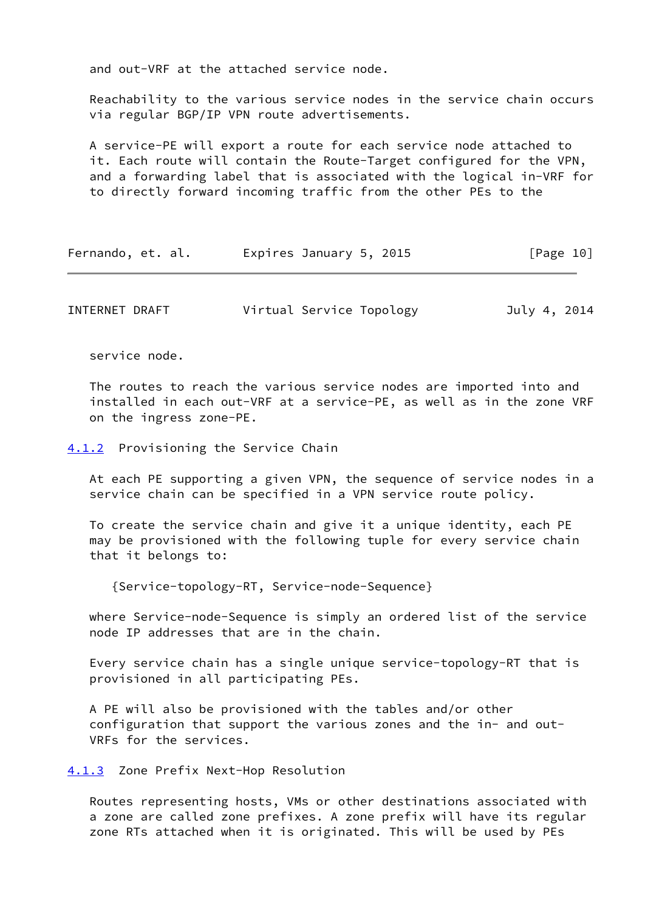and out-VRF at the attached service node.

 Reachability to the various service nodes in the service chain occurs via regular BGP/IP VPN route advertisements.

 A service-PE will export a route for each service node attached to it. Each route will contain the Route-Target configured for the VPN, and a forwarding label that is associated with the logical in-VRF for to directly forward incoming traffic from the other PEs to the

| Fernando, et. al. | Expires January 5, 2015 | [Page 10] |
|-------------------|-------------------------|-----------|
|-------------------|-------------------------|-----------|

INTERNET DRAFT Virtual Service Topology July 4, 2014

service node.

 The routes to reach the various service nodes are imported into and installed in each out-VRF at a service-PE, as well as in the zone VRF on the ingress zone-PE.

<span id="page-11-0"></span>[4.1.2](#page-11-0) Provisioning the Service Chain

 At each PE supporting a given VPN, the sequence of service nodes in a service chain can be specified in a VPN service route policy.

 To create the service chain and give it a unique identity, each PE may be provisioned with the following tuple for every service chain that it belongs to:

{Service-topology-RT, Service-node-Sequence}

 where Service-node-Sequence is simply an ordered list of the service node IP addresses that are in the chain.

 Every service chain has a single unique service-topology-RT that is provisioned in all participating PEs.

 A PE will also be provisioned with the tables and/or other configuration that support the various zones and the in- and out- VRFs for the services.

<span id="page-11-1"></span>[4.1.3](#page-11-1) Zone Prefix Next-Hop Resolution

 Routes representing hosts, VMs or other destinations associated with a zone are called zone prefixes. A zone prefix will have its regular zone RTs attached when it is originated. This will be used by PEs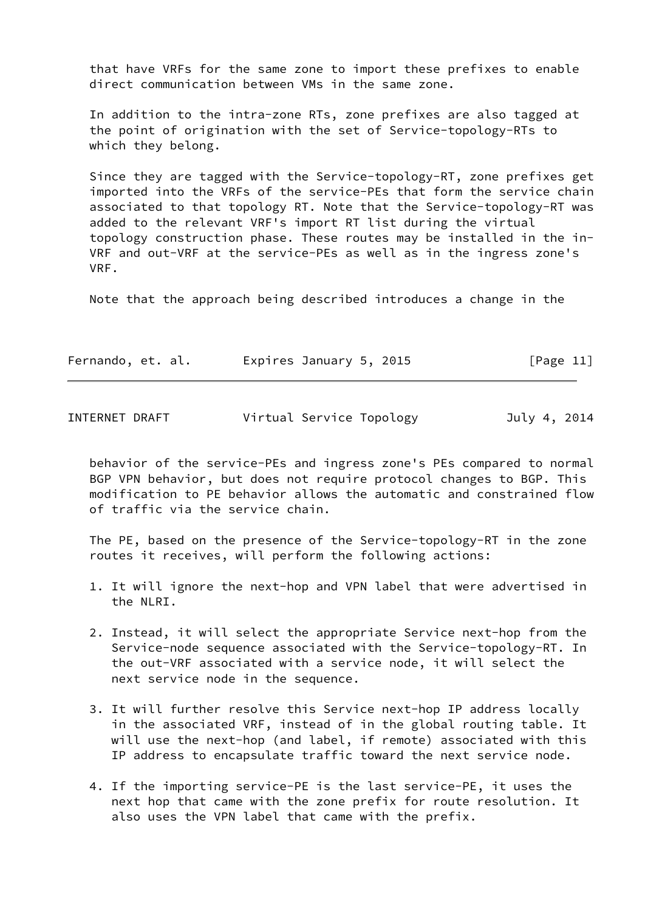that have VRFs for the same zone to import these prefixes to enable direct communication between VMs in the same zone.

 In addition to the intra-zone RTs, zone prefixes are also tagged at the point of origination with the set of Service-topology-RTs to which they belong.

 Since they are tagged with the Service-topology-RT, zone prefixes get imported into the VRFs of the service-PEs that form the service chain associated to that topology RT. Note that the Service-topology-RT was added to the relevant VRF's import RT list during the virtual topology construction phase. These routes may be installed in the in- VRF and out-VRF at the service-PEs as well as in the ingress zone's VRF.

Note that the approach being described introduces a change in the

| Fernando, et. al. | Expires January 5, 2015 | [Page 11] |
|-------------------|-------------------------|-----------|
|-------------------|-------------------------|-----------|

<span id="page-12-0"></span>

|  | INTERNET DRAFT | Virtual Service Topology | July 4, 2014 |
|--|----------------|--------------------------|--------------|
|--|----------------|--------------------------|--------------|

 behavior of the service-PEs and ingress zone's PEs compared to normal BGP VPN behavior, but does not require protocol changes to BGP. This modification to PE behavior allows the automatic and constrained flow of traffic via the service chain.

 The PE, based on the presence of the Service-topology-RT in the zone routes it receives, will perform the following actions:

- 1. It will ignore the next-hop and VPN label that were advertised in the NLRI.
- 2. Instead, it will select the appropriate Service next-hop from the Service-node sequence associated with the Service-topology-RT. In the out-VRF associated with a service node, it will select the next service node in the sequence.
- 3. It will further resolve this Service next-hop IP address locally in the associated VRF, instead of in the global routing table. It will use the next-hop (and label, if remote) associated with this IP address to encapsulate traffic toward the next service node.
- 4. If the importing service-PE is the last service-PE, it uses the next hop that came with the zone prefix for route resolution. It also uses the VPN label that came with the prefix.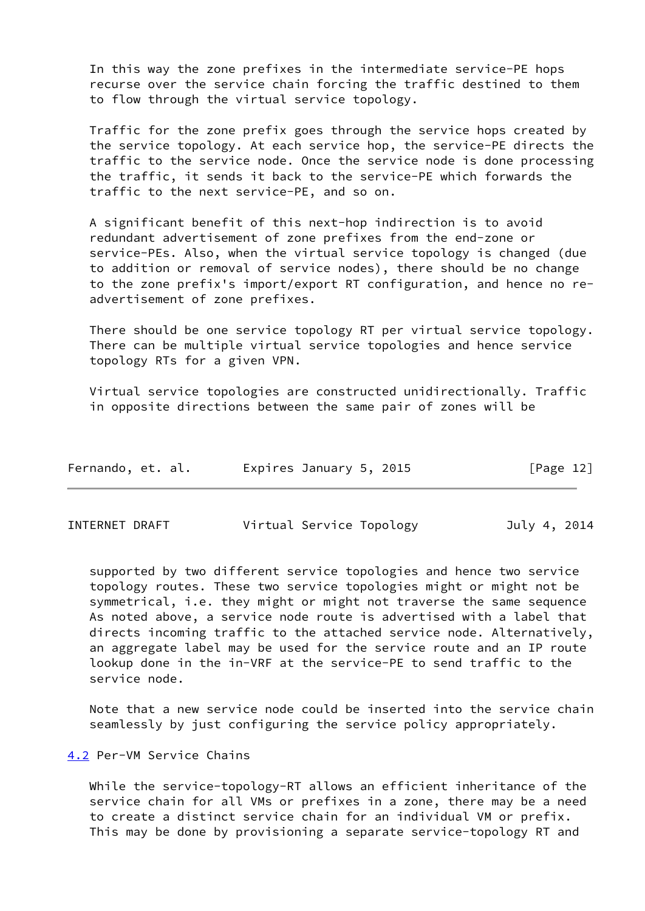In this way the zone prefixes in the intermediate service-PE hops recurse over the service chain forcing the traffic destined to them to flow through the virtual service topology.

 Traffic for the zone prefix goes through the service hops created by the service topology. At each service hop, the service-PE directs the traffic to the service node. Once the service node is done processing the traffic, it sends it back to the service-PE which forwards the traffic to the next service-PE, and so on.

 A significant benefit of this next-hop indirection is to avoid redundant advertisement of zone prefixes from the end-zone or service-PEs. Also, when the virtual service topology is changed (due to addition or removal of service nodes), there should be no change to the zone prefix's import/export RT configuration, and hence no re advertisement of zone prefixes.

 There should be one service topology RT per virtual service topology. There can be multiple virtual service topologies and hence service topology RTs for a given VPN.

 Virtual service topologies are constructed unidirectionally. Traffic in opposite directions between the same pair of zones will be

| Fernando, et. al. | Expires January 5, 2015 | [Page 12] |
|-------------------|-------------------------|-----------|
|-------------------|-------------------------|-----------|

<span id="page-13-1"></span>INTERNET DRAFT Virtual Service Topology July 4, 2014

 supported by two different service topologies and hence two service topology routes. These two service topologies might or might not be symmetrical, i.e. they might or might not traverse the same sequence As noted above, a service node route is advertised with a label that directs incoming traffic to the attached service node. Alternatively, an aggregate label may be used for the service route and an IP route lookup done in the in-VRF at the service-PE to send traffic to the service node.

 Note that a new service node could be inserted into the service chain seamlessly by just configuring the service policy appropriately.

<span id="page-13-0"></span>[4.2](#page-13-0) Per-VM Service Chains

 While the service-topology-RT allows an efficient inheritance of the service chain for all VMs or prefixes in a zone, there may be a need to create a distinct service chain for an individual VM or prefix. This may be done by provisioning a separate service-topology RT and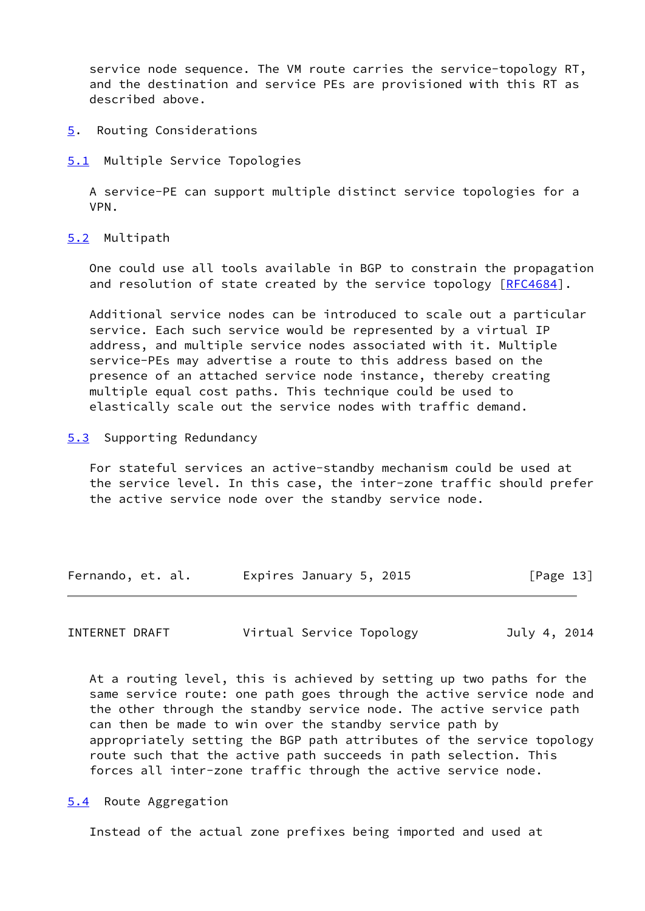service node sequence. The VM route carries the service-topology RT, and the destination and service PEs are provisioned with this RT as described above.

- <span id="page-14-0"></span>[5](#page-14-0). Routing Considerations
- <span id="page-14-1"></span>[5.1](#page-14-1) Multiple Service Topologies

 A service-PE can support multiple distinct service topologies for a VPN.

<span id="page-14-2"></span>[5.2](#page-14-2) Multipath

 One could use all tools available in BGP to constrain the propagation and resolution of state created by the service topology [\[RFC4684](https://datatracker.ietf.org/doc/pdf/rfc4684)].

 Additional service nodes can be introduced to scale out a particular service. Each such service would be represented by a virtual IP address, and multiple service nodes associated with it. Multiple service-PEs may advertise a route to this address based on the presence of an attached service node instance, thereby creating multiple equal cost paths. This technique could be used to elastically scale out the service nodes with traffic demand.

<span id="page-14-3"></span>[5.3](#page-14-3) Supporting Redundancy

 For stateful services an active-standby mechanism could be used at the service level. In this case, the inter-zone traffic should prefer the active service node over the standby service node.

| Fernando, et. al. | Expires January 5, 2015 | [Page 13] |
|-------------------|-------------------------|-----------|
|-------------------|-------------------------|-----------|

<span id="page-14-5"></span>INTERNET DRAFT Virtual Service Topology July 4, 2014

 At a routing level, this is achieved by setting up two paths for the same service route: one path goes through the active service node and the other through the standby service node. The active service path can then be made to win over the standby service path by appropriately setting the BGP path attributes of the service topology route such that the active path succeeds in path selection. This forces all inter-zone traffic through the active service node.

<span id="page-14-4"></span>[5.4](#page-14-4) Route Aggregation

Instead of the actual zone prefixes being imported and used at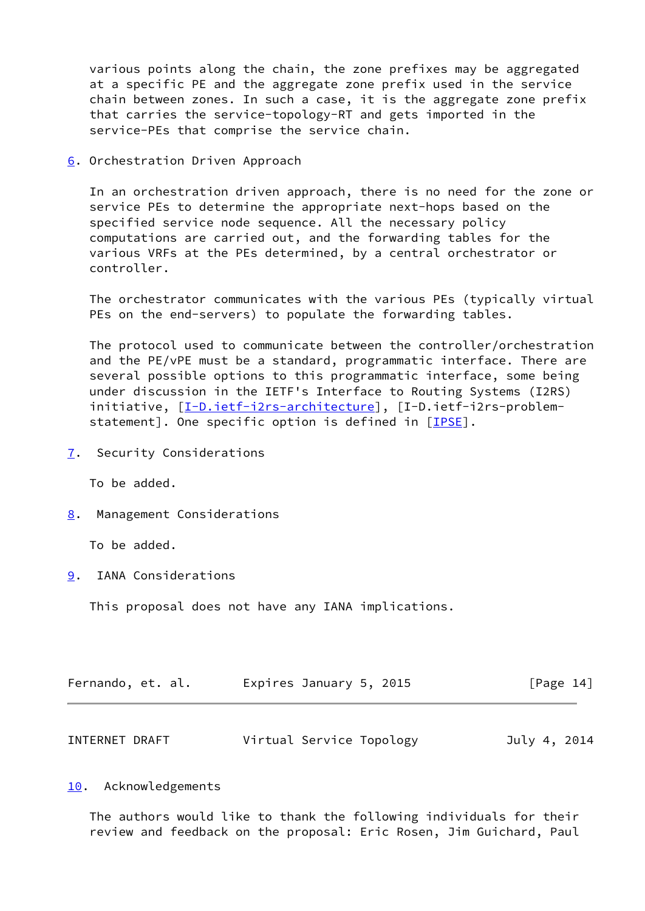various points along the chain, the zone prefixes may be aggregated at a specific PE and the aggregate zone prefix used in the service chain between zones. In such a case, it is the aggregate zone prefix that carries the service-topology-RT and gets imported in the service-PEs that comprise the service chain.

<span id="page-15-0"></span>[6](#page-15-0). Orchestration Driven Approach

 In an orchestration driven approach, there is no need for the zone or service PEs to determine the appropriate next-hops based on the specified service node sequence. All the necessary policy computations are carried out, and the forwarding tables for the various VRFs at the PEs determined, by a central orchestrator or controller.

 The orchestrator communicates with the various PEs (typically virtual PEs on the end-servers) to populate the forwarding tables.

 The protocol used to communicate between the controller/orchestration and the PE/vPE must be a standard, programmatic interface. There are several possible options to this programmatic interface, some being under discussion in the IETF's Interface to Routing Systems (I2RS) initiative, [\[I-D.ietf-i2rs-architecture\]](#page-16-5), [I-D.ietf-i2rs-problem-statement]. One specific option is defined in [[IPSE\]](#page-17-0).

<span id="page-15-1"></span>[7](#page-15-1). Security Considerations

To be added.

<span id="page-15-2"></span>[8](#page-15-2). Management Considerations

To be added.

<span id="page-15-3"></span>[9](#page-15-3). IANA Considerations

This proposal does not have any IANA implications.

<span id="page-15-5"></span>

| Fernando, et. al. | Expires January 5, 2015  |  |              | $\lceil \text{Page 14} \rceil$ |
|-------------------|--------------------------|--|--------------|--------------------------------|
|                   |                          |  |              |                                |
| INTERNET DRAFT    | Virtual Service Topology |  | July 4, 2014 |                                |

#### <span id="page-15-4"></span>[10.](#page-15-4) Acknowledgements

 The authors would like to thank the following individuals for their review and feedback on the proposal: Eric Rosen, Jim Guichard, Paul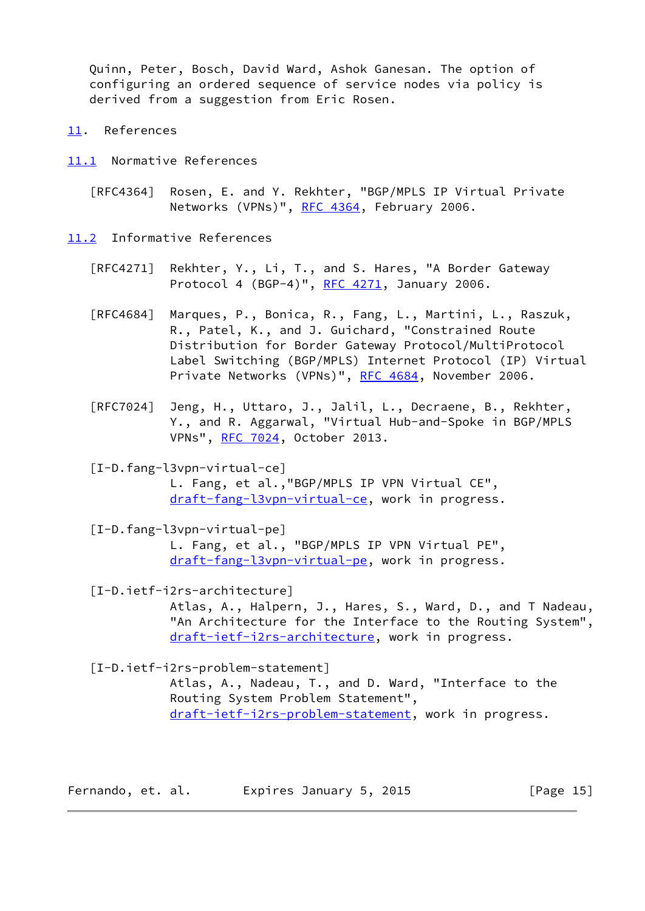Quinn, Peter, Bosch, David Ward, Ashok Ganesan. The option of configuring an ordered sequence of service nodes via policy is derived from a suggestion from Eric Rosen.

- <span id="page-16-0"></span>[11.](#page-16-0) References
- <span id="page-16-1"></span>[11.1](#page-16-1) Normative References
	- [RFC4364] Rosen, E. and Y. Rekhter, "BGP/MPLS IP Virtual Private Networks (VPNs)", [RFC 4364](https://datatracker.ietf.org/doc/pdf/rfc4364), February 2006.

<span id="page-16-2"></span>[11.2](#page-16-2) Informative References

- [RFC4271] Rekhter, Y., Li, T., and S. Hares, "A Border Gateway Protocol 4 (BGP-4)", [RFC 4271](https://datatracker.ietf.org/doc/pdf/rfc4271), January 2006.
- [RFC4684] Marques, P., Bonica, R., Fang, L., Martini, L., Raszuk, R., Patel, K., and J. Guichard, "Constrained Route Distribution for Border Gateway Protocol/MultiProtocol Label Switching (BGP/MPLS) Internet Protocol (IP) Virtual Private Networks (VPNs)", [RFC 4684](https://datatracker.ietf.org/doc/pdf/rfc4684), November 2006.
- [RFC7024] Jeng, H., Uttaro, J., Jalil, L., Decraene, B., Rekhter, Y., and R. Aggarwal, "Virtual Hub-and-Spoke in BGP/MPLS VPNs", [RFC 7024](https://datatracker.ietf.org/doc/pdf/rfc7024), October 2013.

<span id="page-16-3"></span>[I-D.fang-l3vpn-virtual-ce]

 L. Fang, et al.,"BGP/MPLS IP VPN Virtual CE", [draft-fang-l3vpn-virtual-ce](https://datatracker.ietf.org/doc/pdf/draft-fang-l3vpn-virtual-ce), work in progress.

<span id="page-16-4"></span> [I-D.fang-l3vpn-virtual-pe] L. Fang, et al., "BGP/MPLS IP VPN Virtual PE", [draft-fang-l3vpn-virtual-pe](https://datatracker.ietf.org/doc/pdf/draft-fang-l3vpn-virtual-pe), work in progress.

<span id="page-16-5"></span>[I-D.ietf-i2rs-architecture]

 Atlas, A., Halpern, J., Hares, S., Ward, D., and T Nadeau, "An Architecture for the Interface to the Routing System", [draft-ietf-i2rs-architecture,](https://datatracker.ietf.org/doc/pdf/draft-ietf-i2rs-architecture) work in progress.

[I-D.ietf-i2rs-problem-statement]

 Atlas, A., Nadeau, T., and D. Ward, "Interface to the Routing System Problem Statement", [draft-ietf-i2rs-problem-statement,](https://datatracker.ietf.org/doc/pdf/draft-ietf-i2rs-problem-statement) work in progress.

Fernando, et. al. Expires January 5, 2015 [Page 15]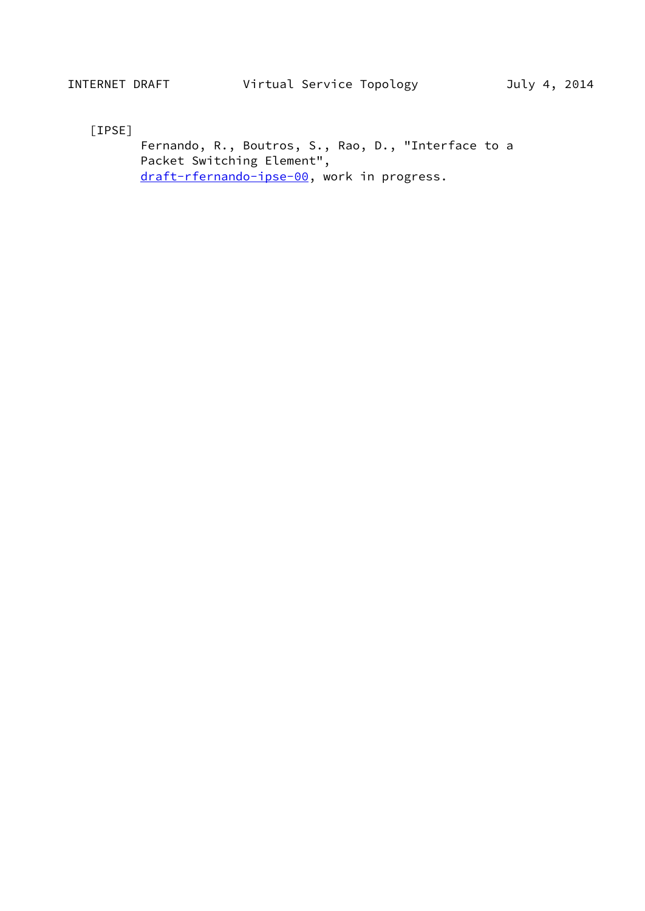<span id="page-17-0"></span>[IPSE]

 Fernando, R., Boutros, S., Rao, D., "Interface to a Packet Switching Element", [draft-rfernando-ipse-00](https://datatracker.ietf.org/doc/pdf/draft-rfernando-ipse-00), work in progress.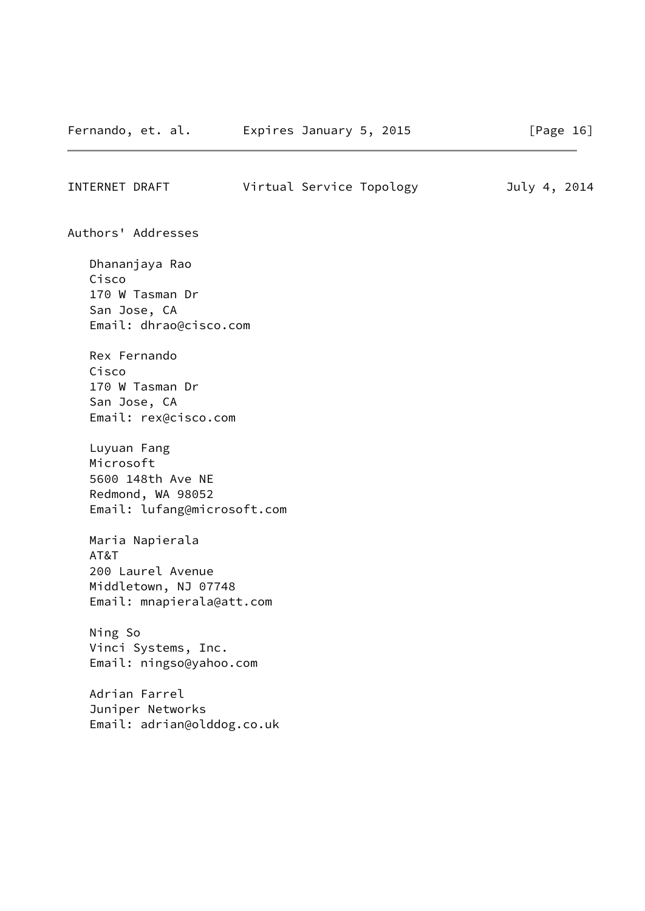| INTERNET DRAFT |                    | Virtual Service Topology | July 4, 2014 |  |
|----------------|--------------------|--------------------------|--------------|--|
|                |                    |                          |              |  |
|                | Authors' Addresses |                          |              |  |

 Dhananjaya Rao Cisco 170 W Tasman Dr San Jose, CA Email: dhrao@cisco.com

 Rex Fernando Cisco 170 W Tasman Dr San Jose, CA Email: rex@cisco.com

 Luyuan Fang Microsoft 5600 148th Ave NE Redmond, WA 98052 Email: lufang@microsoft.com

 Maria Napierala AT&T 200 Laurel Avenue Middletown, NJ 07748 Email: mnapierala@att.com

 Ning So Vinci Systems, Inc. Email: ningso@yahoo.com

 Adrian Farrel Juniper Networks Email: adrian@olddog.co.uk